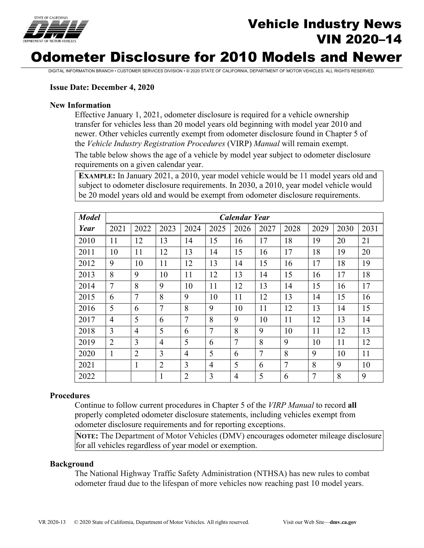

# Vehicle Industry News VIN 2020–14

# Odometer Disclosure for 2010 Models and Newer

DIGITAL INFORMATION BRANCH • CUSTOMER SERVICES DIVISION • © 2020 STATE OF CALIFORNIA, DEPARTMENT OF MOTOR VEHICLES. ALL RIGHTS RESERVED.

#### **Issue Date: December 4, 2020**

#### **New Information**

Effective January 1, 2021, odometer disclosure is required for a vehicle ownership transfer for vehicles less than 20 model years old beginning with model year 2010 and newer. Other vehicles currently exempt from odometer disclosure found in Chapter 5 of the *Vehicle Industry Registration Procedures* (VIRP) *Manual* will remain exempt.

The table below shows the age of a vehicle by model year subject to odometer disclosure requirements on a given calendar year.

**EXAMPLE:** In January 2021, a 2010, year model vehicle would be 11 model years old and subject to odometer disclosure requirements. In 2030, a 2010, year model vehicle would be 20 model years old and would be exempt from odometer disclosure requirements.

| <b>Model</b> | <b>Calendar Year</b> |                |                |                |                |                |                |                |      |      |      |
|--------------|----------------------|----------------|----------------|----------------|----------------|----------------|----------------|----------------|------|------|------|
| Year         | 2021                 | 2022           | 2023           | 2024           | 2025           | 2026           | 2027           | 2028           | 2029 | 2030 | 2031 |
| 2010         | 11                   | 12             | 13             | 14             | 15             | 16             | 17             | 18             | 19   | 20   | 21   |
| 2011         | 10                   | 11             | 12             | 13             | 14             | 15             | 16             | 17             | 18   | 19   | 20   |
| 2012         | 9                    | 10             | 11             | 12             | 13             | 14             | 15             | 16             | 17   | 18   | 19   |
| 2013         | 8                    | 9              | 10             | 11             | 12             | 13             | 14             | 15             | 16   | 17   | 18   |
| 2014         | $\overline{7}$       | 8              | 9              | 10             | 11             | 12             | 13             | 14             | 15   | 16   | 17   |
| 2015         | 6                    | $\overline{7}$ | 8              | 9              | 10             | 11             | 12             | 13             | 14   | 15   | 16   |
| 2016         | 5                    | 6              | $\overline{7}$ | 8              | 9              | 10             | 11             | 12             | 13   | 14   | 15   |
| 2017         | $\overline{4}$       | 5              | 6              | 7              | 8              | 9              | 10             | 11             | 12   | 13   | 14   |
| 2018         | 3                    | 4              | 5              | 6              | $\overline{7}$ | 8              | 9              | 10             | 11   | 12   | 13   |
| 2019         | $\overline{2}$       | 3              | $\overline{4}$ | 5              | 6              | $\overline{7}$ | 8              | 9              | 10   | 11   | 12   |
| 2020         | 1                    | $\overline{2}$ | 3              | $\overline{4}$ | 5              | 6              | $\overline{7}$ | 8              | 9    | 10   | 11   |
| 2021         |                      | $\mathbf{1}$   | $\overline{2}$ | 3              | $\overline{4}$ | 5              | 6              | $\overline{7}$ | 8    | 9    | 10   |
| 2022         |                      |                | $\mathbf{1}$   | $\overline{2}$ | 3              | $\overline{4}$ | 5              | 6              | 7    | 8    | 9    |

#### **Procedures**

Continue to follow current procedures in Chapter 5 of the *VIRP Manual* to record **all**  properly completed odometer disclosure statements, including vehicles exempt from odometer disclosure requirements and for reporting exceptions.

**NOTE:** The Department of Motor Vehicles (DMV) encourages odometer mileage disclosure for all vehicles regardless of year model or exemption.

#### **Background**

The National Highway Traffic Safety Administration (NTHSA) has new rules to combat odometer fraud due to the lifespan of more vehicles now reaching past 10 model years.